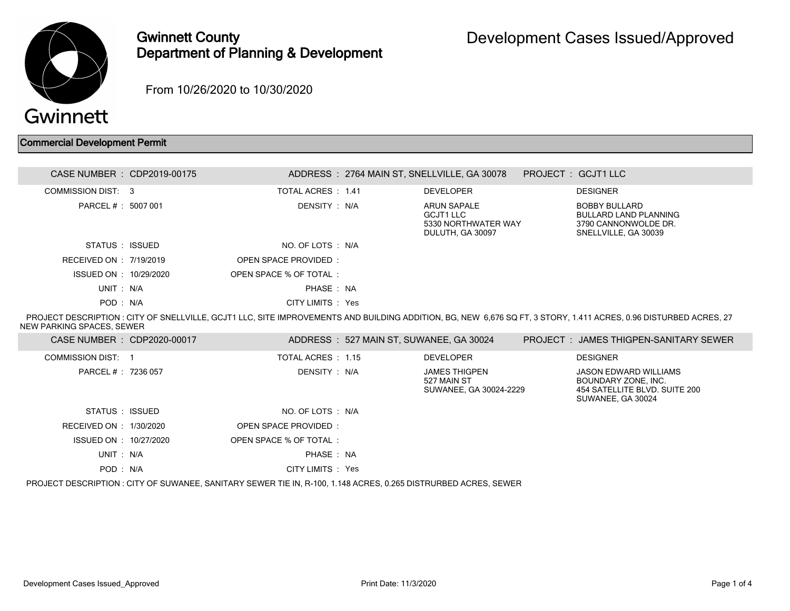

## Gwinnett County Department of Planning & Development

From 10/26/2020 to 10/30/2020

## Commercial Development Permit

| CASE NUMBER : CDP2019-00175                                                                                                                                                                    |  |                        |  | ADDRESS: 2764 MAIN ST, SNELLVILLE, GA 30078                         |  | PROJECT: GCJT1 LLC                                                                            |  |
|------------------------------------------------------------------------------------------------------------------------------------------------------------------------------------------------|--|------------------------|--|---------------------------------------------------------------------|--|-----------------------------------------------------------------------------------------------|--|
| COMMISSION DIST: 3                                                                                                                                                                             |  | TOTAL ACRES : 1.41     |  | <b>DEVELOPER</b>                                                    |  | <b>DESIGNER</b>                                                                               |  |
| PARCEL # : 5007 001                                                                                                                                                                            |  | DENSITY : N/A          |  | ARUN SAPALE<br>GCJT1 LLC<br>5330 NORTHWATER WAY<br>DULUTH, GA 30097 |  | BOBBY BULLARD<br><b>BULLARD LAND PLANNING</b><br>3790 CANNONWOLDE DR.<br>SNELLVILLE, GA 30039 |  |
| STATUS : ISSUED                                                                                                                                                                                |  | NO. OF LOTS : N/A      |  |                                                                     |  |                                                                                               |  |
| RECEIVED ON : $7/19/2019$                                                                                                                                                                      |  | OPEN SPACE PROVIDED:   |  |                                                                     |  |                                                                                               |  |
| ISSUED ON : 10/29/2020                                                                                                                                                                         |  | OPEN SPACE % OF TOTAL: |  |                                                                     |  |                                                                                               |  |
| UNIT: N/A                                                                                                                                                                                      |  | PHASE: NA              |  |                                                                     |  |                                                                                               |  |
| POD: N/A                                                                                                                                                                                       |  | CITY LIMITS : Yes      |  |                                                                     |  |                                                                                               |  |
| PROJECT DESCRIPTION : CITY OF SNELLVILLE, GCJT1 LLC, SITE IMPROVEMENTS AND BUILDING ADDITION, BG, NEW 6.676 SQ FT, 3 STORY, 1.411 ACRES, 0.96 DISTURBED ACRES, 27<br>NEW PARKING SPACES. SEWER |  |                        |  |                                                                     |  |                                                                                               |  |

| CASE NUMBER : CDP2020-00017                                                                                     |  |                        | ADDRESS: 527 MAIN ST, SUWANEE, GA 30024 |                                                        |  | <b>PROJECT : JAMES THIGPEN-SANITARY SEWER</b>                                                      |
|-----------------------------------------------------------------------------------------------------------------|--|------------------------|-----------------------------------------|--------------------------------------------------------|--|----------------------------------------------------------------------------------------------------|
| COMMISSION DIST: 1                                                                                              |  | TOTAL ACRES : 1.15     |                                         | <b>DEVELOPER</b>                                       |  | <b>DESIGNER</b>                                                                                    |
| PARCEL # : 7236 057                                                                                             |  | DENSITY : N/A          |                                         | JAMES THIGPEN<br>527 MAIN ST<br>SUWANEE, GA 30024-2229 |  | JASON EDWARD WILLIAMS<br>BOUNDARY ZONE. INC.<br>454 SATELLITE BLVD, SUITE 200<br>SUWANEE, GA 30024 |
| STATUS : ISSUED                                                                                                 |  | NO. OF LOTS : N/A      |                                         |                                                        |  |                                                                                                    |
| RECEIVED ON : 1/30/2020                                                                                         |  | OPEN SPACE PROVIDED:   |                                         |                                                        |  |                                                                                                    |
| ISSUED ON : 10/27/2020                                                                                          |  | OPEN SPACE % OF TOTAL: |                                         |                                                        |  |                                                                                                    |
| UNIT: N/A                                                                                                       |  | PHASE: NA              |                                         |                                                        |  |                                                                                                    |
| POD: N/A                                                                                                        |  | CITY LIMITS : Yes      |                                         |                                                        |  |                                                                                                    |
| PROJECT DESCRIPTION : CITY OF SUWANEE, SANITARY SEWER TIE IN, R-100, 1.148 ACRES, 0.265 DISTRURBED ACRES, SEWER |  |                        |                                         |                                                        |  |                                                                                                    |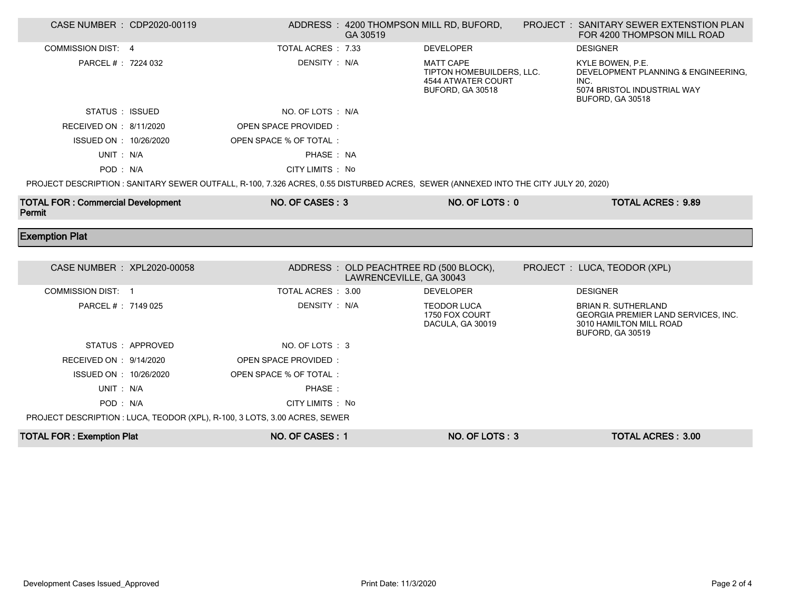| CASE NUMBER : CDP2020-00119                        |                   |                                                                                                                                     | GA 30519                                                           | ADDRESS: 4200 THOMPSON MILL RD, BUFORD,                                                        | <b>PROJECT : SANITARY SEWER EXTENSTION PLAN</b><br>FOR 4200 THOMPSON MILL ROAD                                          |
|----------------------------------------------------|-------------------|-------------------------------------------------------------------------------------------------------------------------------------|--------------------------------------------------------------------|------------------------------------------------------------------------------------------------|-------------------------------------------------------------------------------------------------------------------------|
| <b>COMMISSION DIST: 4</b>                          |                   | TOTAL ACRES : 7.33                                                                                                                  |                                                                    | <b>DEVELOPER</b>                                                                               | <b>DESIGNER</b>                                                                                                         |
| PARCEL # : 7224 032                                |                   | DENSITY: N/A                                                                                                                        |                                                                    | <b>MATT CAPE</b><br>TIPTON HOMEBUILDERS, LLC.<br><b>4544 ATWATER COURT</b><br>BUFORD, GA 30518 | KYLE BOWEN, P.E.<br>DEVELOPMENT PLANNING & ENGINEERING.<br>INC.<br>5074 BRISTOL INDUSTRIAL WAY<br>BUFORD, GA 30518      |
| STATUS : ISSUED                                    |                   | NO. OF LOTS : N/A                                                                                                                   |                                                                    |                                                                                                |                                                                                                                         |
| RECEIVED ON : 8/11/2020                            |                   | OPEN SPACE PROVIDED:                                                                                                                |                                                                    |                                                                                                |                                                                                                                         |
| ISSUED ON : 10/26/2020                             |                   | OPEN SPACE % OF TOTAL :                                                                                                             |                                                                    |                                                                                                |                                                                                                                         |
| UNIT: N/A                                          |                   | PHASE: NA                                                                                                                           |                                                                    |                                                                                                |                                                                                                                         |
| POD: N/A                                           |                   | CITY LIMITS : No                                                                                                                    |                                                                    |                                                                                                |                                                                                                                         |
|                                                    |                   | PROJECT DESCRIPTION : SANITARY SEWER OUTFALL, R-100, 7.326 ACRES, 0.55 DISTURBED ACRES, SEWER (ANNEXED INTO THE CITY JULY 20, 2020) |                                                                    |                                                                                                |                                                                                                                         |
| <b>TOTAL FOR: Commercial Development</b><br>Permit |                   | NO. OF CASES: 3                                                                                                                     |                                                                    | NO. OF LOTS: 0                                                                                 | <b>TOTAL ACRES: 9.89</b>                                                                                                |
|                                                    |                   |                                                                                                                                     |                                                                    |                                                                                                |                                                                                                                         |
| <b>Exemption Plat</b>                              |                   |                                                                                                                                     |                                                                    |                                                                                                |                                                                                                                         |
|                                                    |                   |                                                                                                                                     |                                                                    |                                                                                                |                                                                                                                         |
| CASE NUMBER : XPL2020-00058                        |                   |                                                                                                                                     | ADDRESS : OLD PEACHTREE RD (500 BLOCK),<br>LAWRENCEVILLE, GA 30043 |                                                                                                | PROJECT : LUCA, TEODOR (XPL)                                                                                            |
| <b>COMMISSION DIST: 1</b>                          |                   | TOTAL ACRES: 3.00                                                                                                                   |                                                                    | <b>DEVELOPER</b>                                                                               | <b>DESIGNER</b>                                                                                                         |
| PARCEL #: 7149 025                                 |                   | DENSITY: N/A                                                                                                                        |                                                                    | <b>TEODOR LUCA</b><br>1750 FOX COURT<br>DACULA, GA 30019                                       | <b>BRIAN R. SUTHERLAND</b><br><b>GEORGIA PREMIER LAND SERVICES, INC.</b><br>3010 HAMILTON MILL ROAD<br>BUFORD, GA 30519 |
|                                                    | STATUS : APPROVED | NO. OF LOTS: 3                                                                                                                      |                                                                    |                                                                                                |                                                                                                                         |
| RECEIVED ON : 9/14/2020                            |                   | OPEN SPACE PROVIDED:                                                                                                                |                                                                    |                                                                                                |                                                                                                                         |
| ISSUED ON : 10/26/2020                             |                   | OPEN SPACE % OF TOTAL :                                                                                                             |                                                                    |                                                                                                |                                                                                                                         |
| UNIT: N/A                                          |                   | PHASE:                                                                                                                              |                                                                    |                                                                                                |                                                                                                                         |
| POD: N/A                                           |                   | CITY LIMITS : No                                                                                                                    |                                                                    |                                                                                                |                                                                                                                         |
|                                                    |                   | PROJECT DESCRIPTION : LUCA, TEODOR (XPL), R-100, 3 LOTS, 3.00 ACRES, SEWER                                                          |                                                                    |                                                                                                |                                                                                                                         |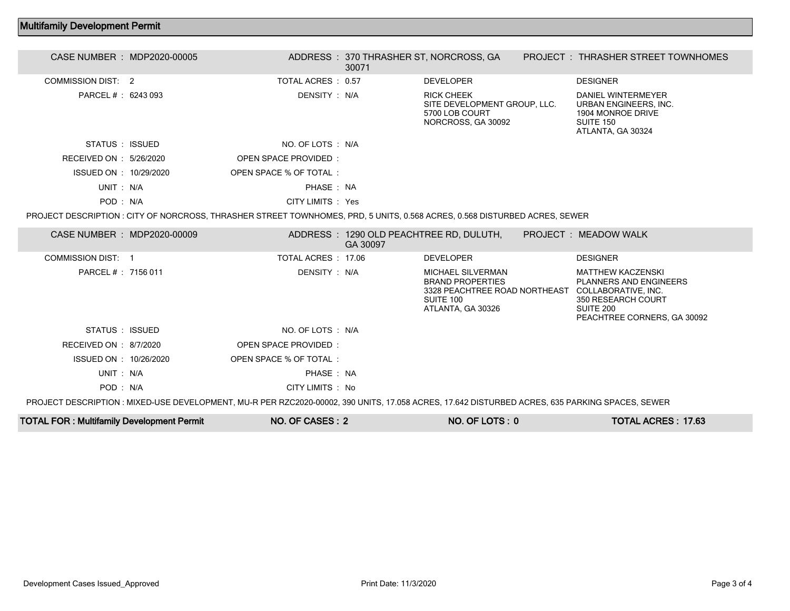## Multifamily Development Permit

| CASE NUMBER : MDP2020-00005 |                                                                                                                                                 | 30071    | ADDRESS: 370 THRASHER ST, NORCROSS, GA                                                                                                     | PROJECT: THRASHER STREET TOWNHOMES                                                                                          |
|-----------------------------|-------------------------------------------------------------------------------------------------------------------------------------------------|----------|--------------------------------------------------------------------------------------------------------------------------------------------|-----------------------------------------------------------------------------------------------------------------------------|
| <b>COMMISSION DIST: 2</b>   | TOTAL ACRES: 0.57                                                                                                                               |          | <b>DEVELOPER</b>                                                                                                                           | <b>DESIGNER</b>                                                                                                             |
| PARCEL # : 6243 093         | DENSITY : N/A                                                                                                                                   |          | <b>RICK CHEEK</b><br>SITE DEVELOPMENT GROUP, LLC.<br>5700 LOB COURT<br>NORCROSS, GA 30092                                                  | DANIEL WINTERMEYER<br>URBAN ENGINEERS, INC.<br>1904 MONROE DRIVE<br>SUITE 150<br>ATLANTA, GA 30324                          |
| STATUS : ISSUED             | NO. OF LOTS : N/A                                                                                                                               |          |                                                                                                                                            |                                                                                                                             |
| RECEIVED ON : 5/26/2020     | <b>OPEN SPACE PROVIDED:</b>                                                                                                                     |          |                                                                                                                                            |                                                                                                                             |
| ISSUED ON : 10/29/2020      | OPEN SPACE % OF TOTAL:                                                                                                                          |          |                                                                                                                                            |                                                                                                                             |
| UNIT: N/A                   | PHASE: NA                                                                                                                                       |          |                                                                                                                                            |                                                                                                                             |
| POD: N/A                    | CITY LIMITS : Yes                                                                                                                               |          |                                                                                                                                            |                                                                                                                             |
|                             | PROJECT DESCRIPTION: CITY OF NORCROSS, THRASHER STREET TOWNHOMES, PRD, 5 UNITS, 0.568 ACRES, 0.568 DISTURBED ACRES, SEWER                       |          |                                                                                                                                            |                                                                                                                             |
| CASE NUMBER : MDP2020-00009 |                                                                                                                                                 | GA 30097 | ADDRESS: 1290 OLD PEACHTREE RD, DULUTH,                                                                                                    | PROJECT : MEADOW WALK                                                                                                       |
| <b>COMMISSION DIST: 1</b>   | TOTAL ACRES: 17.06                                                                                                                              |          | <b>DEVELOPER</b>                                                                                                                           | <b>DESIGNER</b>                                                                                                             |
| PARCEL #: 7156 011          | DENSITY : N/A                                                                                                                                   |          | <b>MICHAEL SILVERMAN</b><br><b>BRAND PROPERTIES</b><br>3328 PEACHTREE ROAD NORTHEAST COLLABORATIVE. INC.<br>SUITE 100<br>ATLANTA, GA 30326 | <b>MATTHEW KACZENSKI</b><br><b>PLANNERS AND ENGINEERS</b><br>350 RESEARCH COURT<br>SUITE 200<br>PEACHTREE CORNERS, GA 30092 |
| STATUS : ISSUED             | NO. OF LOTS : N/A                                                                                                                               |          |                                                                                                                                            |                                                                                                                             |
| RECEIVED ON : 8/7/2020      | OPEN SPACE PROVIDED:                                                                                                                            |          |                                                                                                                                            |                                                                                                                             |
| ISSUED ON : 10/26/2020      | OPEN SPACE % OF TOTAL:                                                                                                                          |          |                                                                                                                                            |                                                                                                                             |
| UNIT: N/A                   | PHASE: NA                                                                                                                                       |          |                                                                                                                                            |                                                                                                                             |
| POD: N/A                    | CITY LIMITS : No                                                                                                                                |          |                                                                                                                                            |                                                                                                                             |
|                             | PROJECT DESCRIPTION : MIXED-USE DEVELOPMENT, MU-R PER RZC2020-00002, 390 UNITS, 17.058 ACRES, 17.642 DISTURBED ACRES, 635 PARKING SPACES, SEWER |          |                                                                                                                                            |                                                                                                                             |

TOTAL FOR : Multifamily Development Permit NO. OF CASES : 2 NO. OF LOTS : 0 TOTAL ACRES : 17.63